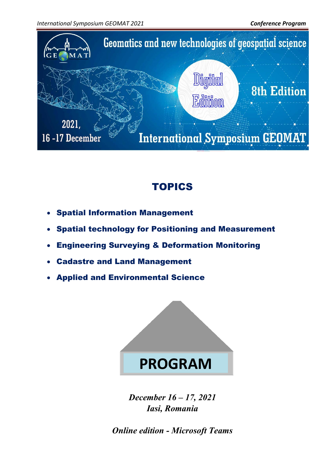

## TOPICS

- Spatial Information Management
- Spatial technology for [Positioning and Measurement](https://fig.net/organisation/comm/5/index.asp)
- Engineering Surveying & Deformation Monitoring
- [Cadastre and Land Management](https://fig.net/organisation/comm/7/index.asp)
- Applied and Environmental Science



*December 16 – 17, 2021 Iasi, Romania*

*Online edition - Microsoft Teams*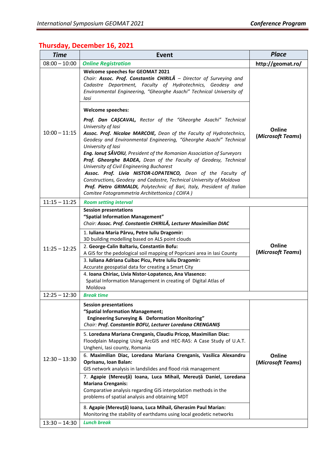## **Thursday, December 16, 2021**

| <b>Time</b>     | <b>Event</b>                                                                                                                                                                                                                                                                                                                                                                                                                                                                                                                                                                                                                                                                                                                                                                                                                                                                                        | <b>Place</b>                |
|-----------------|-----------------------------------------------------------------------------------------------------------------------------------------------------------------------------------------------------------------------------------------------------------------------------------------------------------------------------------------------------------------------------------------------------------------------------------------------------------------------------------------------------------------------------------------------------------------------------------------------------------------------------------------------------------------------------------------------------------------------------------------------------------------------------------------------------------------------------------------------------------------------------------------------------|-----------------------------|
| $08:00 - 10:00$ | <b>Online Registration</b>                                                                                                                                                                                                                                                                                                                                                                                                                                                                                                                                                                                                                                                                                                                                                                                                                                                                          | http://geomat.ro/           |
|                 | <b>Welcome speeches for GEOMAT 2021</b><br>Chair: Assoc. Prof. Constantin CHIRILA - Director of Surveying and<br>Cadastre Department, Faculty of Hydrotechnics, Geodesy and<br>Environmental Engineering, "Gheorghe Asachi" Technical University of<br>lasi                                                                                                                                                                                                                                                                                                                                                                                                                                                                                                                                                                                                                                         |                             |
|                 | <b>Welcome speeches:</b>                                                                                                                                                                                                                                                                                                                                                                                                                                                                                                                                                                                                                                                                                                                                                                                                                                                                            |                             |
| $10:00 - 11:15$ | Prof. Dan CAȘCAVAL, Rector of the "Gheorghe Asachi" Technical<br>University of lasi<br>Assoc. Prof. Nicolae MARCOIE, Dean of the Faculty of Hydrotechnics,<br>Geodesy and Environmental Engineering, "Gheorghe Asachi" Technical<br>University of lasi<br>Eng. Ionut SĂVOIU, President of the Romanian Association of Surveyors<br>Prof. Gheorghe BADEA, Dean of the Faculty of Geodesy, Technical<br>University of Civil Engineering Bucharest                                                                                                                                                                                                                                                                                                                                                                                                                                                     | Online<br>(Microsoft Teams) |
|                 | Assoc. Prof. Livia NISTOR-LOPATENCO, Dean of the Faculty of<br>Constructions, Geodesy and Cadastre, Technical University of Moldova<br>Prof. Pietro GRIMALDI, Polytechnic of Bari, Italy, President of Italian<br>Comitee Fotogrammetria Architettonica (COIFA)                                                                                                                                                                                                                                                                                                                                                                                                                                                                                                                                                                                                                                     |                             |
| $11:15 - 11:25$ | <b>Room setting interval</b>                                                                                                                                                                                                                                                                                                                                                                                                                                                                                                                                                                                                                                                                                                                                                                                                                                                                        |                             |
| $11:25 - 12:25$ | <b>Session presentations</b><br>"Spatial Information Management"<br>Chair: Assoc. Prof. Constantin CHIRILĂ, Lecturer Maximilian DIAC<br>1. Iuliana Maria Pârvu, Petre Iuliu Dragomir:<br>3D building modelling based on ALS point clouds<br>2. George-Calin Baltariu, Constantin Bofu:<br>A GIS for the pedological soil mapping of Popricani area in lasi County<br>3. Iuliana Adriana Cuibac Picu, Petre Iuliu Dragomir:<br>Accurate geospatial data for creating a Smart City<br>4. Ioana Chiriac, Livia Nistor-Lopatenco, Ana Vlasenco:<br>Spatial Information Management in creating of Digital Atlas of<br>Moldova                                                                                                                                                                                                                                                                            | Online<br>(Microsoft Teams) |
| $12:25 - 12:30$ | <b>Break time</b>                                                                                                                                                                                                                                                                                                                                                                                                                                                                                                                                                                                                                                                                                                                                                                                                                                                                                   |                             |
| $12:30 - 13:30$ | <b>Session presentations</b><br>"Spatial Information Management;<br><b>Engineering Surveying &amp; Deformation Monitoring"</b><br>Chair: Prof. Constantin BOFU, Lecturer Loredana CRENGANIȘ<br>5. Loredana Mariana Crenganis, Claudiu Pricop, Maximilian Diac:<br>Floodplain Mapping Using ArcGIS and HEC-RAS: A Case Study of U.A.T.<br>Ungheni, lasi county, Romania<br>6. Maximilian Diac, Loredana Mariana Crenganis, Vasilica Alexandru<br>Oprisanu, Ioan Balan:<br>GIS network analysis in landslides and flood risk management<br>7. Agapie (Mereuță) Ioana, Luca Mihail, Mereuță Daniel, Loredana<br><b>Mariana Crenganis:</b><br>Comparative analysis regarding GIS interpolation methods in the<br>problems of spatial analysis and obtaining MDT<br>8. Agapie (Mereuță) Ioana, Luca Mihail, Gherasim Paul Marian:<br>Monitoring the stability of earthdams using local geodetic networks | Online<br>(Microsoft Teams) |
| $13:30 - 14:30$ | <b>Lunch break</b>                                                                                                                                                                                                                                                                                                                                                                                                                                                                                                                                                                                                                                                                                                                                                                                                                                                                                  |                             |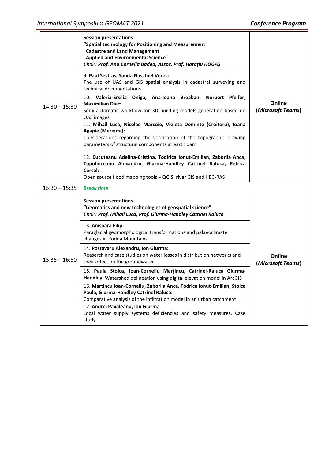| $14:30 - 15:30$ | <b>Session presentations</b><br>"Spatial technology for Positioning and Measurement<br><b>Cadastre and Land Management</b><br><b>Applied and Environmental Science"</b><br>Chair: Prof. Ana Cornelia Badea, Assoc. Prof. Horațiu HOGAȘ<br>9. Paul Sestras, Sanda Nas, Ioel Veres:<br>The use of UAS and GIS spatial analysis in cadastral surveying and<br>technical documentations<br>10. Valeria-Ersilia Oniga, Ana-Ioana Breaban, Norbert Pfeifer,<br><b>Maximilian Diac:</b><br>Semi-automatic workflow for 3D building models generation based on<br>UAS images<br>11. Mihail Luca, Nicolae Marcoie, Violeta Dominte (Croitoru), Ioana<br>Agapie (Mereuta):<br>Considerations regarding the verification of the topographic drawing<br>parameters of structural components at earth dam<br>12. Cucuteanu Adelina-Cristina, Todirica Ionut-Emilian, Zaborila Anca,<br>Topolniceanu Alexandru, Giurma-Handley Catrinel Raluca, Petrica<br>Cercel:<br>Open source flood mapping tools - QGIS, river GIS and HEC-RAS | Online<br>(Microsoft Teams) |
|-----------------|-----------------------------------------------------------------------------------------------------------------------------------------------------------------------------------------------------------------------------------------------------------------------------------------------------------------------------------------------------------------------------------------------------------------------------------------------------------------------------------------------------------------------------------------------------------------------------------------------------------------------------------------------------------------------------------------------------------------------------------------------------------------------------------------------------------------------------------------------------------------------------------------------------------------------------------------------------------------------------------------------------------------------|-----------------------------|
| $15:30 - 15:35$ | <b>Break time</b>                                                                                                                                                                                                                                                                                                                                                                                                                                                                                                                                                                                                                                                                                                                                                                                                                                                                                                                                                                                                     |                             |
| $15:35 - 16:50$ | <b>Session presentations</b><br>"Geomatics and new technologies of geospatial science"<br>Chair: Prof. Mihail Luca, Prof. Giurma-Handley Catrinel Raluca<br>13. Anișoara Filip:<br>Paraglacial geomorphological transformations and palaeoclimate<br>changes in Rodna Mountains                                                                                                                                                                                                                                                                                                                                                                                                                                                                                                                                                                                                                                                                                                                                       |                             |
|                 | 14. Postavaru Alexandru, Ion Giurma:<br>Reaserch and case studies on water losses in distribution networks and<br>their effect on the groundwater                                                                                                                                                                                                                                                                                                                                                                                                                                                                                                                                                                                                                                                                                                                                                                                                                                                                     | Online<br>(Microsoft Teams) |
|                 | 15. Paula Stoica, Ioan-Corneliu Marțincu, Catrinel-Raluca Giurma-<br>Handley: Watershed delineation using digital elevation model in ArcGIS                                                                                                                                                                                                                                                                                                                                                                                                                                                                                                                                                                                                                                                                                                                                                                                                                                                                           |                             |
|                 | 16. Martincu Ioan-Corneliu, Zaborila Anca, Todrica Ionut-Emilian, Stoica<br>Paula, Giurma-Handley Catrinel Raluca:<br>Comparative analysis of the infiltration model in an urban catchment<br>17. Andrei Pavaleanu, Ion Giurma<br>Local water supply systems deficiencies and safety measures. Case<br>study.                                                                                                                                                                                                                                                                                                                                                                                                                                                                                                                                                                                                                                                                                                         |                             |